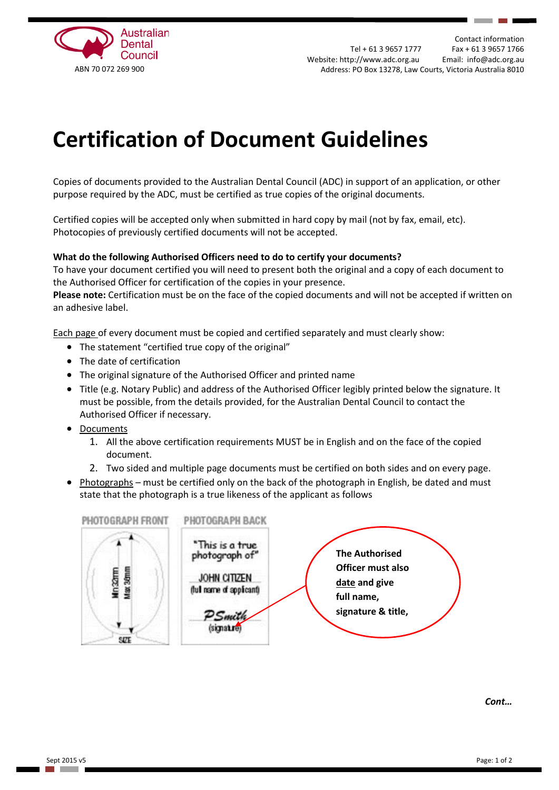

Contact information Tel + 61 3 9657 1777 Fax + 61 3 9657 1766 Website: [http://www.adc.org.au](http://www.adc.org.au/) Email: [info@adc.org.au](mailto:info@adc.org.au) ABN 70 072 269 900 Address: PO Box 13278, Law Courts, Victoria Australia 8010

## **Certification of Document Guidelines**

Copies of documents provided to the Australian Dental Council (ADC) in support of an application, or other purpose required by the ADC, must be certified as true copies of the original documents.

Certified copies will be accepted only when submitted in hard copy by mail (not by fax, email, etc). Photocopies of previously certified documents will not be accepted.

## **What do the following Authorised Officers need to do to certify your documents?**

To have your document certified you will need to present both the original and a copy of each document to the Authorised Officer for certification of the copies in your presence.

**Please note:** Certification must be on the face of the copied documents and will not be accepted if written on an adhesive label.

Each page of every document must be copied and certified separately and must clearly show:

- The statement "certified true copy of the original"
- The date of certification
- The original signature of the Authorised Officer and printed name
- Title (e.g. Notary Public) and address of the Authorised Officer legibly printed below the signature. It must be possible, from the details provided, for the Australian Dental Council to contact the Authorised Officer if necessary.
- Documents
	- 1. All the above certification requirements MUST be in English and on the face of the copied document.
	- 2. Two sided and multiple page documents must be certified on both sides and on every page.
- Photographs must be certified only on the back of the photograph in English, be dated and must state that the photograph is a true likeness of the applicant as follows



*Cont…*